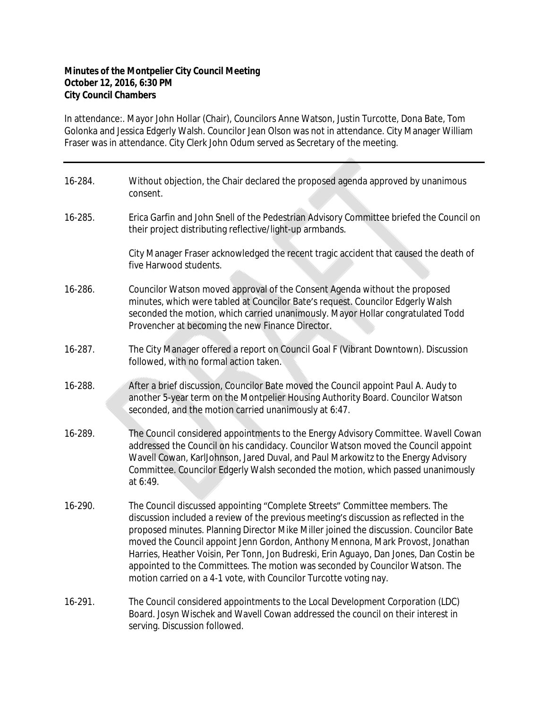## **Minutes of the Montpelier City Council Meeting October 12, 2016, 6:30 PM City Council Chambers**

In attendance:. Mayor John Hollar (Chair), Councilors Anne Watson, Justin Turcotte, Dona Bate, Tom Golonka and Jessica Edgerly Walsh. Councilor Jean Olson was not in attendance. City Manager William Fraser was in attendance. City Clerk John Odum served as Secretary of the meeting.

| 16-284. | Without objection, the Chair declared the proposed agenda approved by unanimous<br>consent.                                                                                                                                                                                                                                                                                                                                                                                                                                                                                                    |
|---------|------------------------------------------------------------------------------------------------------------------------------------------------------------------------------------------------------------------------------------------------------------------------------------------------------------------------------------------------------------------------------------------------------------------------------------------------------------------------------------------------------------------------------------------------------------------------------------------------|
| 16-285. | Erica Garfin and John Snell of the Pedestrian Advisory Committee briefed the Council on<br>their project distributing reflective/light-up armbands.                                                                                                                                                                                                                                                                                                                                                                                                                                            |
|         | City Manager Fraser acknowledged the recent tragic accident that caused the death of<br>five Harwood students.                                                                                                                                                                                                                                                                                                                                                                                                                                                                                 |
| 16-286. | Councilor Watson moved approval of the Consent Agenda without the proposed<br>minutes, which were tabled at Councilor Bate's request. Councilor Edgerly Walsh<br>seconded the motion, which carried unanimously. Mayor Hollar congratulated Todd<br>Provencher at becoming the new Finance Director.                                                                                                                                                                                                                                                                                           |
| 16-287. | The City Manager offered a report on Council Goal F (Vibrant Downtown). Discussion<br>followed, with no formal action taken.                                                                                                                                                                                                                                                                                                                                                                                                                                                                   |
| 16-288. | After a brief discussion, Councilor Bate moved the Council appoint Paul A. Audy to<br>another 5-year term on the Montpelier Housing Authority Board. Councilor Watson<br>seconded, and the motion carried unanimously at 6:47.                                                                                                                                                                                                                                                                                                                                                                 |
| 16-289. | The Council considered appointments to the Energy Advisory Committee. Wavell Cowan<br>addressed the Council on his candidacy. Councilor Watson moved the Council appoint<br>Wavell Cowan, KarlJohnson, Jared Duval, and Paul Markowitz to the Energy Advisory<br>Committee. Councilor Edgerly Walsh seconded the motion, which passed unanimously<br>at 6:49.                                                                                                                                                                                                                                  |
| 16-290. | The Council discussed appointing "Complete Streets" Committee members. The<br>discussion included a review of the previous meeting's discussion as reflected in the<br>proposed minutes. Planning Director Mike Miller joined the discussion. Councilor Bate<br>moved the Council appoint Jenn Gordon, Anthony Mennona, Mark Provost, Jonathan<br>Harries, Heather Voisin, Per Tonn, Jon Budreski, Erin Aguayo, Dan Jones, Dan Costin be<br>appointed to the Committees. The motion was seconded by Councilor Watson. The<br>motion carried on a 4-1 vote, with Councilor Turcotte voting nay. |
| 16-291. | The Council considered appointments to the Local Development Corporation (LDC)<br>Board. Josyn Wischek and Wavell Cowan addressed the council on their interest in<br>serving. Discussion followed.                                                                                                                                                                                                                                                                                                                                                                                            |